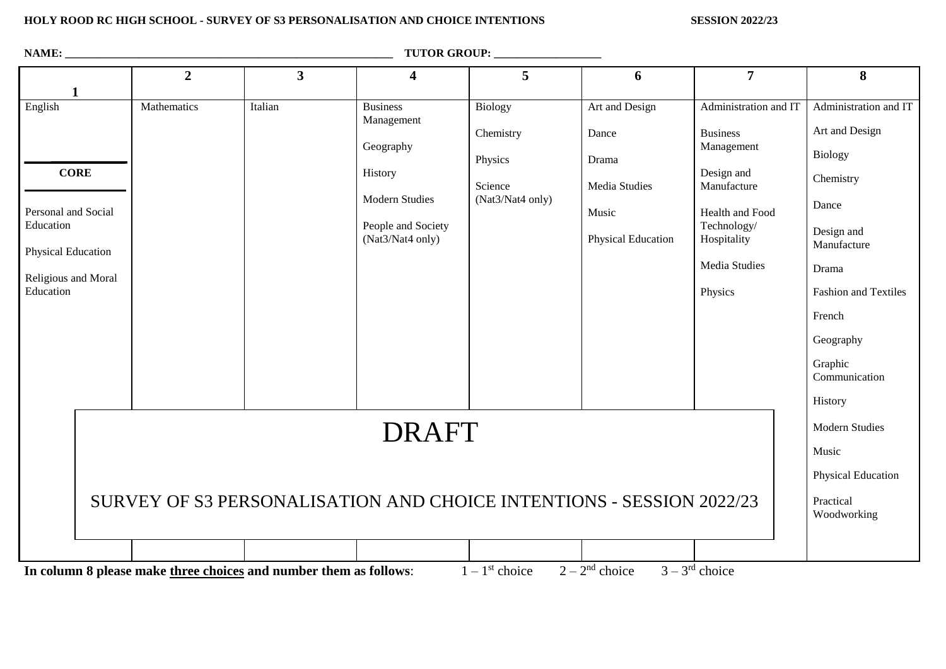#### **HOLY ROOD RC HIGH SCHOOL - SURVEY OF S3 PERSONALISATION AND CHOICE INTENTIONS SESSION 2022/23**

| NAME:<br><b>TUTOR GROUP:</b>                                                                                                                  |                |                         |                                                                                                                          |                                                                       |                                                                                  |                                                                                                                                                       |                                                                                                                       |
|-----------------------------------------------------------------------------------------------------------------------------------------------|----------------|-------------------------|--------------------------------------------------------------------------------------------------------------------------|-----------------------------------------------------------------------|----------------------------------------------------------------------------------|-------------------------------------------------------------------------------------------------------------------------------------------------------|-----------------------------------------------------------------------------------------------------------------------|
|                                                                                                                                               | $\overline{2}$ | $\overline{\mathbf{3}}$ | $\overline{\mathbf{4}}$                                                                                                  | 5                                                                     | 6                                                                                | $\overline{7}$                                                                                                                                        | 8                                                                                                                     |
| $\mathbf{1}$<br>English<br><b>CORE</b><br>Personal and Social<br>Education<br><b>Physical Education</b><br>Religious and Moral                | Mathematics    | Italian                 | <b>Business</b><br>Management<br>Geography<br>History<br><b>Modern Studies</b><br>People and Society<br>(Nat3/Nat4 only) | <b>Biology</b><br>Chemistry<br>Physics<br>Science<br>(Nat3/Nat4 only) | Art and Design<br>Dance<br>Drama<br>Media Studies<br>Music<br>Physical Education | Administration and IT<br><b>Business</b><br>Management<br>Design and<br>Manufacture<br>Health and Food<br>Technology/<br>Hospitality<br>Media Studies | Administration and IT<br>Art and Design<br><b>Biology</b><br>Chemistry<br>Dance<br>Design and<br>Manufacture<br>Drama |
| Education                                                                                                                                     |                |                         |                                                                                                                          |                                                                       |                                                                                  | Physics                                                                                                                                               | <b>Fashion and Textiles</b><br>French<br>Geography<br>Graphic<br>Communication<br>History                             |
| <b>DRAFT</b><br>SURVEY OF S3 PERSONALISATION AND CHOICE INTENTIONS - SESSION 2022/23                                                          |                |                         |                                                                                                                          |                                                                       |                                                                                  |                                                                                                                                                       | <b>Modern Studies</b><br>Music                                                                                        |
|                                                                                                                                               |                |                         |                                                                                                                          |                                                                       |                                                                                  |                                                                                                                                                       | Physical Education<br>Practical<br>Woodworking                                                                        |
|                                                                                                                                               |                |                         |                                                                                                                          |                                                                       |                                                                                  |                                                                                                                                                       |                                                                                                                       |
| $2-2^{nd}$ choice<br>$3 - 3^{rd}$ choice<br>$1 - 1$ <sup>st</sup> choice<br>In column 8 please make three choices and number them as follows: |                |                         |                                                                                                                          |                                                                       |                                                                                  |                                                                                                                                                       |                                                                                                                       |